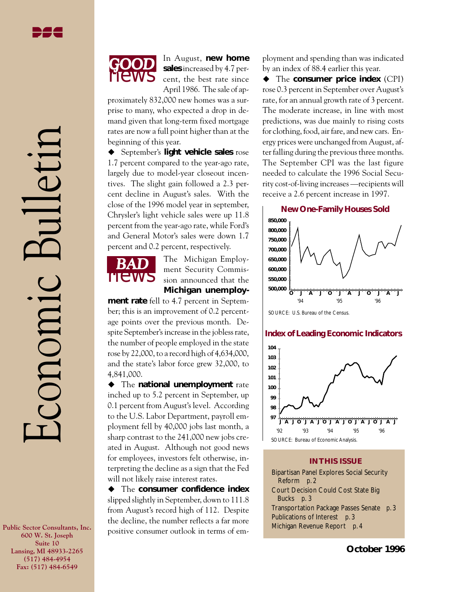Economic Bulletin

conomic



In August, **new home sales** increased by 4.7 percent, the best rate since April 1986. The sale of ap-

proximately 832,000 new homes was a surprise to many, who expected a drop in demand given that long-term fixed mortgage rates are now a full point higher than at the beginning of this year.

◆ September's **light vehicle sales** rose 1.7 percent compared to the year-ago rate, largely due to model-year closeout incentives. The slight gain followed a 2.3 percent decline in August's sales. With the close of the 1996 model year in september, Chrysler's light vehicle sales were up 11.8 percent from the year-ago rate, while Ford's and General Motor's sales were down 1.7 percent and 0.2 percent, respectively.



The Michigan Employment Security Commission announced that the **Michigan unemploy-**

**ment rate** fell to 4.7 percent in September; this is an improvement of 0.2 percentage points over the previous month. Despite September's increase in the jobless rate, the number of people employed in the state rose by 22,000, to a record high of 4,634,000, and the state's labor force grew 32,000, to 4,841,000.

◆ The **national unemployment** rate inched up to 5.2 percent in September, up 0.1 percent from August's level. According to the U.S. Labor Department, payroll employment fell by 40,000 jobs last month, a sharp contrast to the 241,000 new jobs created in August. Although not good news for employees, investors felt otherwise, interpreting the decline as a sign that the Fed will not likely raise interest rates.

 $\blacklozenge$  The **consumer confidence index** slipped slightly in September, down to 111.8 from August's record high of 112. Despite the decline, the number reflects a far more positive consumer outlook in terms of employment and spending than was indicated by an index of 88.4 earlier this year.

◆ The **consumer price index** (CPI) rose 0.3 percent in September over August's rate, for an annual growth rate of 3 percent. The moderate increase, in line with most predictions, was due mainly to rising costs for clothing, food, air fare, and new cars. Energy prices were unchanged from August, after falling during the previous three months. The September CPI was the last figure needed to calculate the 1996 Social Security cost-of-living increases —recipients will receive a 2.6 percent increase in 1997.



SOURCE: U.S. Bureau of the Census.

### **Index of Leading Economic Indicators**



### **IN THIS ISSUE**

Bipartisan Panel Explores Social Security Reform *p. 2* Court Decision Could Cost State Big Bucks *p. 3* Transportation Package Passes Senate *p. 3* Publications of Interest *p. 3* Michigan Revenue Report *p. 4*

**Public Sector Consultants, Inc. 600 W. St. Joseph Suite 10 Lansing, MI 48933-2265 (517) 484-4954 Fax: (517) 484-6549**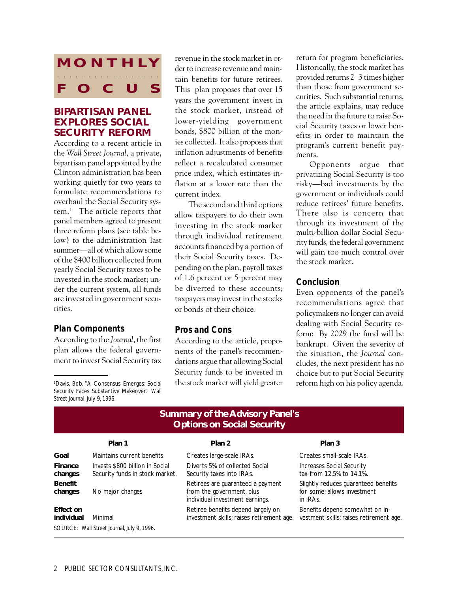# **MONTHLY O** C aaaa aaaaaaaaaaaaa

## **BIPARTISAN PANEL EXPLORES SOCIAL SECURITY REFORM**

According to a recent article in the *Wall Street Journal*, a private, bipartisan panel appointed by the Clinton administration has been working quietly for two years to formulate recommendations to overhaul the Social Security system.1 The article reports that panel members agreed to present three reform plans (see table below) to the administration last summer—all of which allow some of the \$400 billion collected from yearly Social Security taxes to be invested in the stock market; under the current system, all funds are invested in government securities.

## *Plan Components*

According to the *Journal*, the first plan allows the federal government to invest Social Security tax

1 Davis, Bob. "A Consensus Emerges: Social Security Faces Substantive Makeover." *Wall Street Journal*, July 9, 1996.

revenue in the stock market in order to increase revenue and maintain benefits for future retirees. This plan proposes that over 15 years the government invest in the stock market, instead of lower-yielding government bonds, \$800 billion of the monies collected. It also proposes that inflation adjustments of benefits reflect a recalculated consumer price index, which estimates inflation at a lower rate than the current index.

The second and third options allow taxpayers to do their own investing in the stock market through individual retirement accounts financed by a portion of their Social Security taxes. Depending on the plan, payroll taxes of 1.6 percent or 5 percent may be diverted to these accounts; taxpayers may invest in the stocks or bonds of their choice.

## *Pros and Cons*

According to the article, proponents of the panel's recommendations argue that allowing Social Security funds to be invested in the stock market will yield greater return for program beneficiaries. Historically, the stock market has provided returns 2–3 times higher than those from government securities. Such substantial returns, the article explains, may reduce the need in the future to raise Social Security taxes or lower benefits in order to maintain the program's current benefit payments.

Opponents argue that privatizing Social Security is too risky—bad investments by the government or individuals could reduce retirees' future benefits. There also is concern that through its investment of the multi-billion dollar Social Security funds, the federal government will gain too much control over the stock market.

## *Conclusion*

Even opponents of the panel's recommendations agree that policymakers no longer can avoid dealing with Social Security reform: By 2029 the fund will be bankrupt. Given the severity of the situation, the *Journal* concludes, the next president has no choice but to put Social Security reform high on his policy agenda.

## **Summary of the Advisory Panel's Options on Social Security**

### Plan 1 Plan 2 Plan 2 Plan 3

**Goal** Maintains current benefits. Creates large-scale IRAs. Creates small-scale IRAs. **Finance** Invests \$800 billion in Social Diverts 5% of collected Social Increases Social Security changes Security funds in stock market. Security taxes into IRAs. the start of the security funds in stock market. Security Security funds in stock market. **Benefit**<br> **Benefit** Slightly reduces guaranteed benefits<br> **Changes** No major changes and the government, plus and the some; allows investment **changes** No major changes from the government, plus for some for some for some for some for some in IRAs. individual investment earnings. **Effect on**<br> **Effect on** Minimal **Effect on Benefits depend somewhat on in-**<br> **Effect on** Benefits depend somewhat on in-<br> **Retiree benefits depend largely on** Benefits depend somewhat on in-<br> **Retiree benefits depend larg** SOURCE: *Wall Street Journal*, July 9, 1996.

vestment skills; raises retirement age.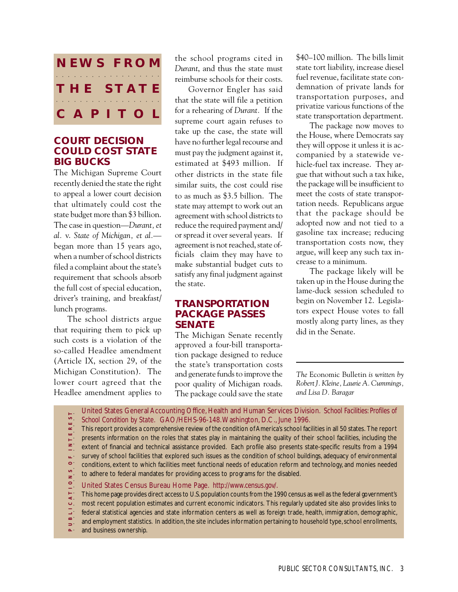

## **COURT DECISION COULD COST STATE BIG BUCKS**

The Michigan Supreme Court recently denied the state the right to appeal a lower court decision that ultimately could cost the state budget more than \$3 billion. The case in question—*Durant, et al.* v. *State of Michigan, et al.* began more than 15 years ago, when a number of school districts filed a complaint about the state's requirement that schools absorb the full cost of special education, driver's training, and breakfast/ lunch programs.

The school districts argue that requiring them to pick up such costs is a violation of the so-called Headlee amendment (Article IX, section 29, of the Michigan Constitution). The lower court agreed that the Headlee amendment applies to the school programs cited in *Durant*, and thus the state must reimburse schools for their costs.

Governor Engler has said that the state will file a petition for a rehearing of *Durant.* If the supreme court again refuses to take up the case, the state will have no further legal recourse and must pay the judgment against it, estimated at \$493 million. If other districts in the state file similar suits, the cost could rise to as much as \$3.5 billion. The state may attempt to work out an agreement with school districts to reduce the required payment and/ or spread it over several years. If agreement is not reached, state officials claim they may have to make substantial budget cuts to satisfy any final judgment against the state.

## **TRANSPORTATION PACKAGE PASSES SENATE**

The Michigan Senate recently approved a four-bill transportation package designed to reduce the state's transportation costs and generate funds to improve the poor quality of Michigan roads. The package could save the state

\$40–100 million. The bills limit state tort liability, increase diesel fuel revenue, facilitate state condemnation of private lands for transportation purposes, and privatize various functions of the state transportation department.

The package now moves to the House, where Democrats say they will oppose it unless it is accompanied by a statewide vehicle-fuel tax increase. They argue that without such a tax hike, the package will be insufficient to meet the costs of state transportation needs. Republicans argue that the package should be adopted now and not tied to a gasoline tax increase; reducing transportation costs now, they argue, will keep any such tax increase to a minimum.

The package likely will be taken up in the House during the lame-duck session scheduled to begin on November 12. Legislators expect House votes to fall mostly along party lines, as they did in the Senate.

*The* Economic Bulletin *is written by Robert J. Kleine, Laurie A. Cummings, and Lisa D. Baragar*

United States General Accounting Office, Health and Human Services Division. *School Facilities: Profiles of*  $\frac{1}{2}$  S  $\frac{1}{3}$ *School Condition by State.* GAO/HEHS-96-148. Washington, D.C., June 1996.

This report provides a comprehensive review of the condition of America's school facilities in all 50 states. The report

aaaaaaaaaaaaaaaaaaaa **P U B L I C A T I O N S O F I N T E R E S T**  $\begin{array}{c} 1 \text{ N T E R} \end{array}$ presents information on the roles that states play in maintaining the quality of their school facilities, including the

extent of financial and technical assistance provided. Each profile also presents state-specific results from a 1994

survey of school facilities that explored such issues as the condition of school buildings, adequacy of environmental  $\Delta \mathcal{L}^{(1)}$  $\bullet$ 

conditions, extent to which facilities meet functional needs of education reform and technology, and monies needed

 $\begin{array}{c} \n 0 \\
\n \end{array}$ to adhere to federal mandates for providing access to programs for the disabled.

 $\frac{1}{10}$ United States Census Bureau Home Page. *http://www.census.gov/.*

This home page provides direct access to U.S. population counts from the 1990 census as well as the federal government's

most recent population estimates and current economic indicators. This regularly updated site also provides links to  $\widetilde{\mathsf{O}}_{\mathsf{S}}$ 

federal statistical agencies and state information centers as well as foreign trade, health, immigration, demographic,

 $\pmb{\varpi}^+$ and employment statistics. In addition, the site includes information pertaining to household type, school enrollments,

 $\sim$  and business ownership.